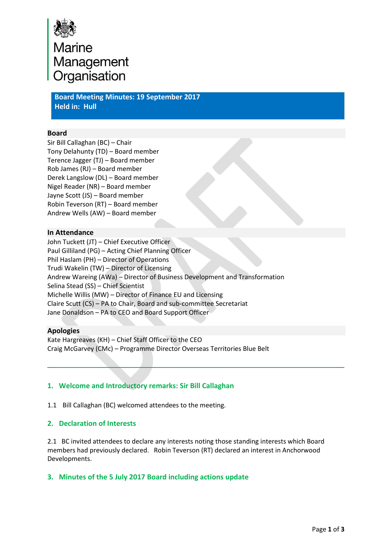

**Board Meeting Minutes: 19 September 2017 Held in: Hull**

#### **Board**

Sir Bill Callaghan (BC) – Chair Tony Delahunty (TD) – Board member Terence Jagger (TJ) – Board member Rob James (RJ) – Board member Derek Langslow (DL) – Board member Nigel Reader (NR) – Board member Jayne Scott (JS) – Board member Robin Teverson (RT) – Board member Andrew Wells (AW) – Board member

#### **In Attendance**

John Tuckett (JT) – Chief Executive Officer Paul Gilliland (PG) – Acting Chief Planning Officer Phil Haslam (PH) – Director of Operations Trudi Wakelin (TW) – Director of Licensing Andrew Wareing (AWa) – Director of Business Development and Transformation Selina Stead (SS) – Chief Scientist Michelle Willis (MW) – Director of Finance EU and Licensing Claire Scutt (CS) – PA to Chair, Board and sub-committee Secretariat Jane Donaldson – PA to CEO and Board Support Officer

#### **Apologies**

Kate Hargreaves (KH) – Chief Staff Officer to the CEO Craig McGarvey (CMc) – Programme Director Overseas Territories Blue Belt

# **1. Welcome and Introductory remarks: Sir Bill Callaghan**

1.1 Bill Callaghan (BC) welcomed attendees to the meeting.

# **2. Declaration of Interests**

2.1 BC invited attendees to declare any interests noting those standing interests which Board members had previously declared. Robin Teverson (RT) declared an interest in Anchorwood Developments.

# **3. Minutes of the 5 July 2017 Board including actions update**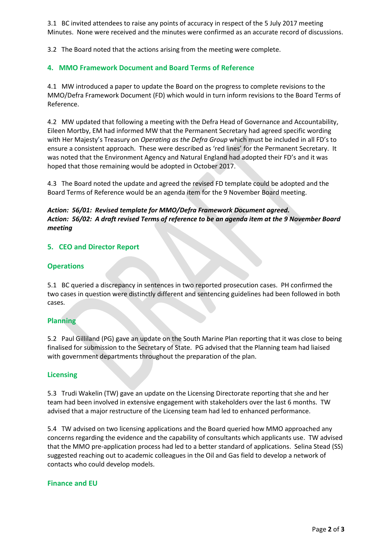3.1 BC invited attendees to raise any points of accuracy in respect of the 5 July 2017 meeting Minutes. None were received and the minutes were confirmed as an accurate record of discussions.

3.2 The Board noted that the actions arising from the meeting were complete.

# **4. MMO Framework Document and Board Terms of Reference**

4.1 MW introduced a paper to update the Board on the progress to complete revisions to the MMO/Defra Framework Document (FD) which would in turn inform revisions to the Board Terms of Reference.

4.2 MW updated that following a meeting with the Defra Head of Governance and Accountability, Eileen Mortby, EM had informed MW that the Permanent Secretary had agreed specific wording with Her Majesty's Treasury on *Operating as the Defra Group* which must be included in all FD's to ensure a consistent approach. These were described as 'red lines' for the Permanent Secretary. It was noted that the Environment Agency and Natural England had adopted their FD's and it was hoped that those remaining would be adopted in October 2017.

4.3 The Board noted the update and agreed the revised FD template could be adopted and the Board Terms of Reference would be an agenda item for the 9 November Board meeting.

#### *Action: 56/01: Revised template for MMO/Defra Framework Document agreed. Action: 56/02: A draft revised Terms of reference to be an agenda item at the 9 November Board meeting*

# **5. CEO and Director Report**

# **Operations**

5.1 BC queried a discrepancy in sentences in two reported prosecution cases. PH confirmed the two cases in question were distinctly different and sentencing guidelines had been followed in both cases.

# **Planning**

5.2 Paul Gilliland (PG) gave an update on the South Marine Plan reporting that it was close to being finalised for submission to the Secretary of State. PG advised that the Planning team had liaised with government departments throughout the preparation of the plan.

#### **Licensing**

5.3 Trudi Wakelin (TW) gave an update on the Licensing Directorate reporting that she and her team had been involved in extensive engagement with stakeholders over the last 6 months. TW advised that a major restructure of the Licensing team had led to enhanced performance.

5.4 TW advised on two licensing applications and the Board queried how MMO approached any concerns regarding the evidence and the capability of consultants which applicants use. TW advised that the MMO pre-application process had led to a better standard of applications. Selina Stead (SS) suggested reaching out to academic colleagues in the Oil and Gas field to develop a network of contacts who could develop models.

# **Finance and EU**